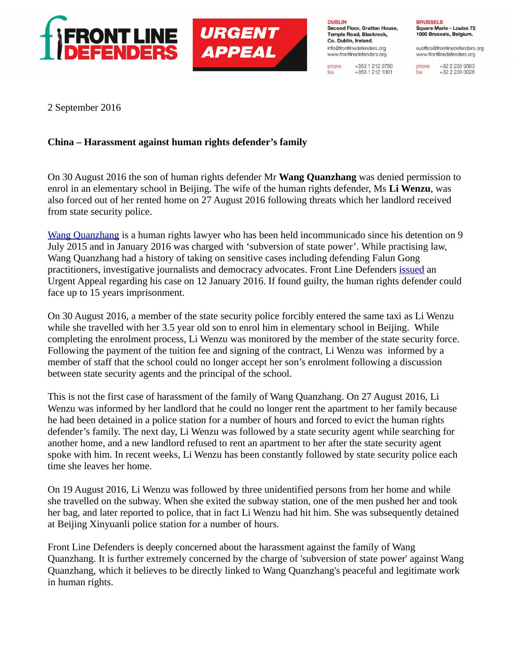



**DUBLIN** Second Floor, Grattan House, Temple Road, Blackrock. Co. Dublin, Ireland. info@frontlinedefenders.org www.frontlinedefenders.org

+353 1 212 3750 phone  $+353$  1 212 1001 fax

**BRUSSELS** Square Marie - Louise 72 1000 Brussels, Belgium.

euoffice@frontlinedefenders.org www.frontlinedefenders.org

+32 2 230 9383 phone +32 2 230 0028 fax

2 September 2016

## **China – Harassment against human rights defender's family**

On 30 August 2016 the son of human rights defender Mr **Wang Quanzhang** was denied permission to enrol in an elementary school in Beijing. The wife of the human rights defender, Ms **Li Wenzu**, was also forced out of her rented home on 27 August 2016 following threats which her landlord received from state security police.

[Wang Quanzhang](https://www.frontlinedefenders.org/en/profile/wang-quanzhang) is a human rights lawyer who has been held incommunicado since his detention on 9 July 2015 and in January 2016 was charged with 'subversion of state power'. While practising law, Wang Quanzhang had a history of taking on sensitive cases including defending Falun Gong practitioners, investigative journalists and democracy advocates. Front Line Defenders [issued](https://www.frontlinedefenders.org/en/case/case-history-wang-quanzhang#case-update-id-788) an Urgent Appeal regarding his case on 12 January 2016. If found guilty, the human rights defender could face up to 15 years imprisonment.

On 30 August 2016, a member of the state security police forcibly entered the same taxi as Li Wenzu while she travelled with her 3.5 year old son to enrol him in elementary school in Beijing. While completing the enrolment process, Li Wenzu was monitored by the member of the state security force. Following the payment of the tuition fee and signing of the contract, Li Wenzu was informed by a member of staff that the school could no longer accept her son's enrolment following a discussion between state security agents and the principal of the school.

This is not the first case of harassment of the family of Wang Quanzhang. On 27 August 2016, Li Wenzu was informed by her landlord that he could no longer rent the apartment to her family because he had been detained in a police station for a number of hours and forced to evict the human rights defender's family. The next day, Li Wenzu was followed by a state security agent while searching for another home, and a new landlord refused to rent an apartment to her after the state security agent spoke with him. In recent weeks, Li Wenzu has been constantly followed by state security police each time she leaves her home.

On 19 August 2016, Li Wenzu was followed by three unidentified persons from her home and while she travelled on the subway. When she exited the subway station, one of the men pushed her and took her bag, and later reported to police, that in fact Li Wenzu had hit him. She was subsequently detained at Beijing Xinyuanli police station for a number of hours.

Front Line Defenders is deeply concerned about the harassment against the family of Wang Quanzhang. It is further extremely concerned by the charge of 'subversion of state power' against Wang Quanzhang, which it believes to be directly linked to Wang Quanzhang's peaceful and legitimate work in human rights.